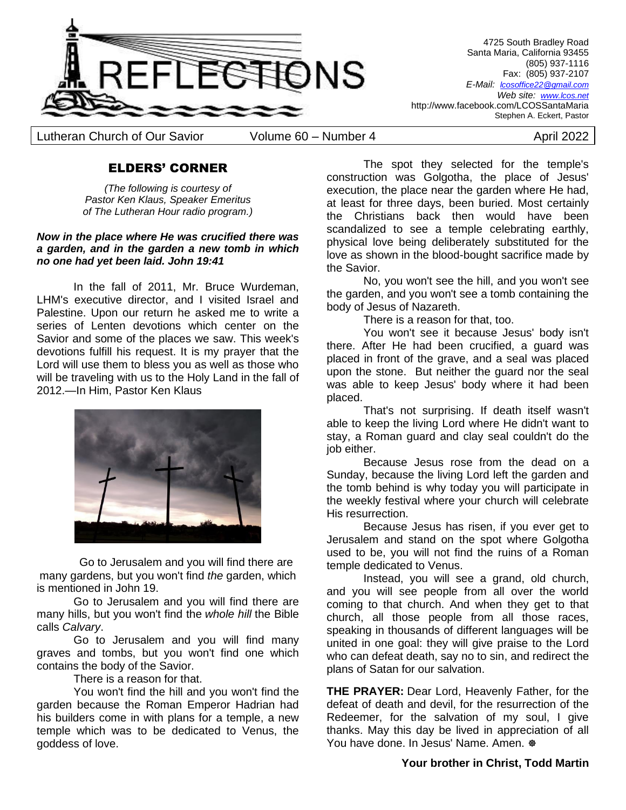

4725 South Bradley Road Santa Maria, California 93455 (805) 937-1116 Fax: (805) 937-2107 *E-Mail: lcosoffice22@gmail.com Web site: [www.lcos.net](http://www.lcos.net/)* http://www.facebook.com/LCOSSantaMaria Stephen A. Eckert, Pastor

Lutheran Church of Our Savior Colume 60 – Number 4 April 2022

# ELDERS' CORNER

*(The following is courtesy of Pastor Ken Klaus, Speaker Emeritus of The Lutheran Hour radio program.)*

#### *Now in the place where He was crucified there was a garden, and in the garden a new tomb in which no one had yet been laid. John 19:41*

In the fall of 2011, Mr. Bruce Wurdeman, LHM's executive director, and I visited Israel and Palestine. Upon our return he asked me to write a series of Lenten devotions which center on the Savior and some of the places we saw. This week's devotions fulfill his request. It is my prayer that the Lord will use them to bless you as well as those who will be traveling with us to the Holy Land in the fall of 2012.—In Him, Pastor Ken Klaus



Go to Jerusalem and you will find there are many gardens, but you won't find *the* garden, which is mentioned in John 19.

Go to Jerusalem and you will find there are many hills, but you won't find the *whole hill* the Bible calls *Calvary*.

Go to Jerusalem and you will find many graves and tombs, but you won't find one which contains the body of the Savior.

There is a reason for that.

You won't find the hill and you won't find the garden because the Roman Emperor Hadrian had his builders come in with plans for a temple, a new temple which was to be dedicated to Venus, the goddess of love.

The spot they selected for the temple's construction was Golgotha, the place of Jesus' execution, the place near the garden where He had, at least for three days, been buried. Most certainly the Christians back then would have been scandalized to see a temple celebrating earthly, physical love being deliberately substituted for the love as shown in the blood-bought sacrifice made by the Savior.

No, you won't see the hill, and you won't see the garden, and you won't see a tomb containing the body of Jesus of Nazareth.

There is a reason for that, too.

You won't see it because Jesus' body isn't there. After He had been crucified, a guard was placed in front of the grave, and a seal was placed upon the stone. But neither the guard nor the seal was able to keep Jesus' body where it had been placed.

That's not surprising. If death itself wasn't able to keep the living Lord where He didn't want to stay, a Roman guard and clay seal couldn't do the job either.

Because Jesus rose from the dead on a Sunday, because the living Lord left the garden and the tomb behind is why today you will participate in the weekly festival where your church will celebrate His resurrection.

Because Jesus has risen, if you ever get to Jerusalem and stand on the spot where Golgotha used to be, you will not find the ruins of a Roman temple dedicated to Venus.

Instead, you will see a grand, old church, and you will see people from all over the world coming to that church. And when they get to that church, all those people from all those races, speaking in thousands of different languages will be united in one goal: they will give praise to the Lord who can defeat death, say no to sin, and redirect the plans of Satan for our salvation.

**THE PRAYER:** Dear Lord, Heavenly Father, for the defeat of death and devil, for the resurrection of the Redeemer, for the salvation of my soul, I give thanks. May this day be lived in appreciation of all You have done. In Jesus' Name. Amen.  $\Phi$ 

# **Your brother in Christ, Todd Martin**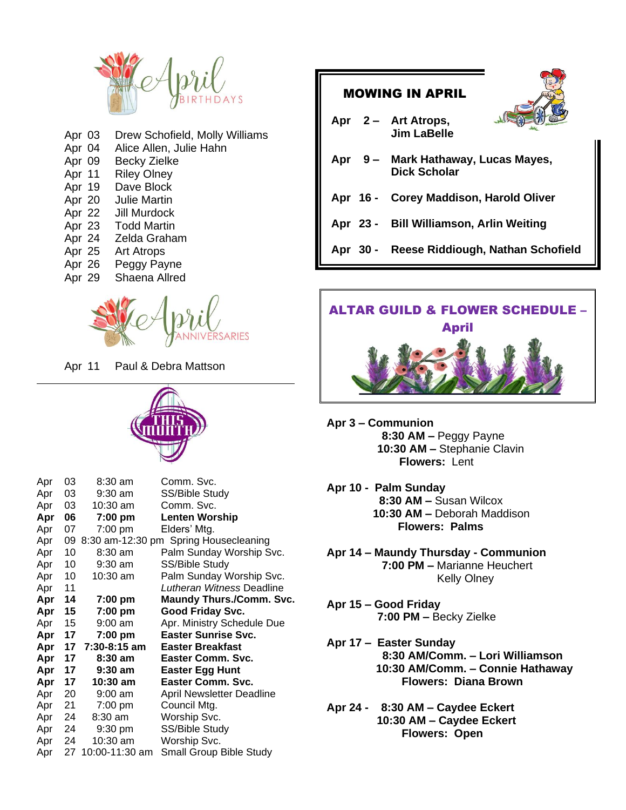

| Apr 03 | Drew Schofield, Molly Williams |
|--------|--------------------------------|
| Apr 04 | Alice Allen, Julie Hahn        |
| Apr 09 | <b>Becky Zielke</b>            |
| Apr 11 | <b>Riley Olney</b>             |
| Apr 19 | Dave Block                     |
| Apr 20 | Julie Martin                   |
| Apr 22 | Jill Murdock                   |
| Apr 23 | <b>Todd Martin</b>             |
| Apr 24 | Zelda Graham                   |
| Apr 25 | <b>Art Atrops</b>              |
| Apr 26 | Peggy Payne                    |
| Apr 29 | Shaena Allred                  |
|        |                                |



Apr 11 Paul & Debra Mattson



| Apr | 03 | 8:30 am        | Comm. Svc.                            |
|-----|----|----------------|---------------------------------------|
| Apr | 03 | 9:30 am        | SS/Bible Study                        |
| Apr | 03 | 10:30 am       | Comm. Svc.                            |
| Apr | 06 | 7:00 pm        | <b>Lenten Worship</b>                 |
| Apr | 07 | 7:00 pm        | Elders' Mtg.                          |
| Apr | 09 |                | 8:30 am-12:30 pm Spring Housecleaning |
| Apr | 10 | $8:30$ am      | Palm Sunday Worship Svc.              |
| Apr | 10 | $9:30$ am      | SS/Bible Study                        |
| Apr | 10 | 10:30 am       | Palm Sunday Worship Svc.              |
| Apr | 11 |                | Lutheran Witness Deadline             |
| Apr | 14 | 7:00 pm        | <b>Maundy Thurs./Comm. Svc.</b>       |
| Apr | 15 | 7:00 pm        | <b>Good Friday Svc.</b>               |
| Apr | 15 | $9:00$ am      | Apr. Ministry Schedule Due            |
| Apr | 17 | 7:00 pm        | <b>Easter Sunrise Svc.</b>            |
| Apr | 17 | 7:30-8:15 am   | Easter Breakfast                      |
| Apr | 17 | 8:30 am        | Easter Comm. Svc.                     |
| Apr | 17 | 9:30 am        | <b>Easter Egg Hunt</b>                |
| Apr | 17 | 10:30 am       | Easter Comm. Svc.                     |
| Apr | 20 | $9:00$ am      | April Newsletter Deadline             |
| Apr | 21 | 7:00 pm        | Council Mtg.                          |
| Apr | 24 | $8:30$ am      | Worship Svc.                          |
| Apr | 24 | $9:30$ pm      | SS/Bible Study                        |
| Apr | 24 | 10:30 am       | Worship Svc.                          |
| Apr | 27 | 10:00-11:30 am | Small Group Bible Study               |

| <b>MOWING IN APRIL</b>                                     |  |  |  |
|------------------------------------------------------------|--|--|--|
| Apr 2 – Art Atrops,<br><b>Jim LaBelle</b>                  |  |  |  |
| Apr 9 - Mark Hathaway, Lucas Mayes,<br><b>Dick Scholar</b> |  |  |  |
| Apr 16 - Corey Maddison, Harold Oliver                     |  |  |  |
| Apr 23 - Bill Williamson, Arlin Weiting                    |  |  |  |
| Apr 30 - Reese Riddiough, Nathan Schofield                 |  |  |  |
|                                                            |  |  |  |



- **Apr 3 – Communion 8:30 AM –** Peggy Payne **10:30 AM –** Stephanie Clavin  **Flowers:** Lent
- **Apr 10 Palm Sunday 8:30 AM –** Susan Wilcox  **10:30 AM –** Deborah Maddison **Flowers: Palms**
- **Apr 14 – Maundy Thursday - Communion 7:00 PM –** Marianne Heuchert Kelly Olney
- **Apr 15 – Good Friday 7:00 PM –** Becky Zielke
- **Apr 17 – Easter Sunday 8:30 AM/Comm. – Lori Williamson 10:30 AM/Comm. – Connie Hathaway Flowers: Diana Brown**
- **Apr 24 8:30 AM – Caydee Eckert 10:30 AM – Caydee Eckert Flowers: Open**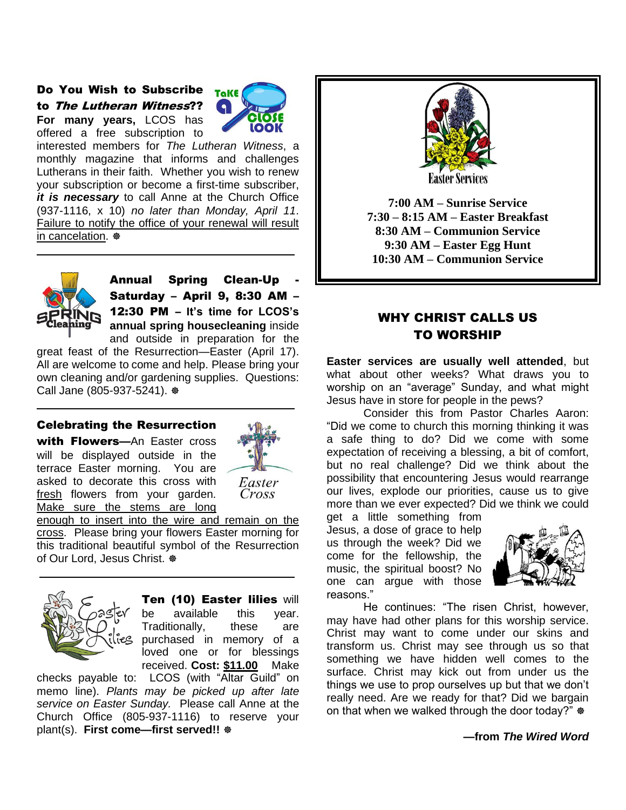Do You Wish to Subscribe to The Lutheran Witness?? **For many years,** LCOS has offered a free subscription to



interested members for *The Lutheran Witness*, a monthly magazine that informs and challenges Lutherans in their faith. Whether you wish to renew your subscription or become a first-time subscriber, *it is necessary* to call Anne at the Church Office (937-1116, x 10) *no later than Monday, April 11*. Failure to notify the office of your renewal will result in cancelation.  $\otimes$ 



Annual Spring Clean-Up - Saturday – April 9, 8:30 AM – 12:30 PM – **It's time for LCOS's annual spring housecleaning** inside and outside in preparation for the

great feast of the Resurrection—Easter (April 17). All are welcome to come and help. Please bring your own cleaning and/or gardening supplies. Questions: Call Jane (805-937-5241).

#### Celebrating the Resurrection

with **Flowers**—An Easter cross will be displayed outside in the terrace Easter morning. You are asked to decorate this cross with fresh flowers from your garden. Make sure the stems are long



enough to insert into the wire and remain on the cross. Please bring your flowers Easter morning for this traditional beautiful symbol of the Resurrection of Our Lord, Jesus Christ.  $\otimes$ 



Ten (10) Easter lilies will be available this year. Traditionally, these are purchased in memory of a loved one or for blessings received. **Cost: \$11.00** Make

checks payable to: LCOS (with "Altar Guild" on memo line). *Plants may be picked up after late service on Easter Sunday.* Please call Anne at the Church Office (805-937-1116) to reserve your plant(s). **First come—first served!!**



**7:00 AM – Sunrise Service 7:30 – 8:15 AM – Easter Breakfast 8:30 AM – Communion Service 9:30 AM – Easter Egg Hunt 10:30 AM – Communion Service**

# WHY CHRIST CALLS US TO WORSHIP

**Easter services are usually well attended**, but what about other weeks? What draws you to worship on an "average" Sunday, and what might Jesus have in store for people in the pews?

Consider this from Pastor Charles Aaron: "Did we come to church this morning thinking it was a safe thing to do? Did we come with some expectation of receiving a blessing, a bit of comfort, but no real challenge? Did we think about the possibility that encountering Jesus would rearrange our lives, explode our priorities, cause us to give more than we ever expected? Did we think we could

get a little something from Jesus, a dose of grace to help us through the week? Did we come for the fellowship, the music, the spiritual boost? No one can argue with those reasons."



He continues: "The risen Christ, however, may have had other plans for this worship service. Christ may want to come under our skins and transform us. Christ may see through us so that something we have hidden well comes to the surface. Christ may kick out from under us the things we use to prop ourselves up but that we don't really need. Are we ready for that? Did we bargain on that when we walked through the door today?"  $\otimes$ 

**—from** *The Wired Word*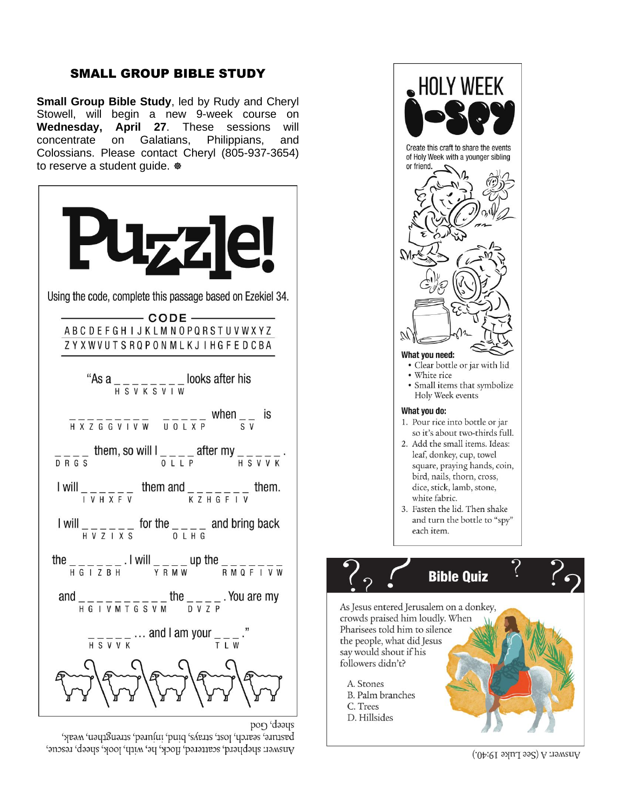# SMALL GROUP BIBLE STUDY

**Small Group Bible Study**, led by Rudy and Cheryl Stowell, will begin a new 9-week course on **Wednesday, April 27**. These sessions will concentrate on Galatians, Philippians, and Colossians. Please contact Cheryl (805-937-3654) to reserve a student guide.  $\Phi$ 



pasture, search, lost, strays, bind, injured, strengthen, weak, Answer: shepherd, scattered, flock, he, with, look, sheep, rescue,



Answer: A (See Luke 19:40.)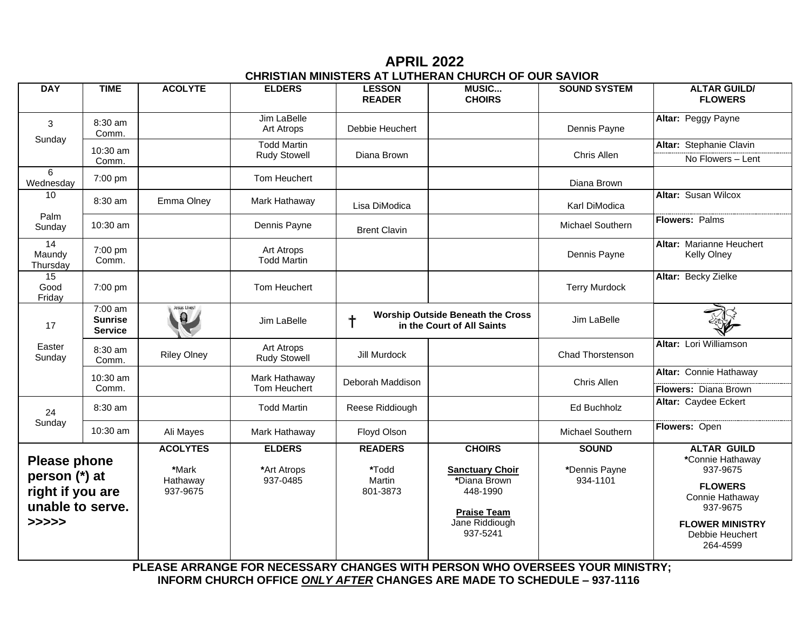**APRIL 2022 CHRISTIAN MINISTERS AT LUTHERAN CHURCH OF OUR SAVIOR**

| <b>DAY</b>                                                                            | <b>TIME</b>                                              | <b>ACOLYTE</b>                                   | <b>ELDERS</b>                            | <b>LESSON</b><br><b>READER</b>                                                      | <b>MUSIC</b><br><b>CHOIRS</b>                                                                                           | <b>SOUND SYSTEM</b>                       | <b>ALTAR GUILD/</b><br><b>FLOWERS</b>                                                                                                                        |
|---------------------------------------------------------------------------------------|----------------------------------------------------------|--------------------------------------------------|------------------------------------------|-------------------------------------------------------------------------------------|-------------------------------------------------------------------------------------------------------------------------|-------------------------------------------|--------------------------------------------------------------------------------------------------------------------------------------------------------------|
| 3                                                                                     | 8:30 am<br>Comm.                                         |                                                  | Jim LaBelle<br>Art Atrops                | Debbie Heuchert                                                                     |                                                                                                                         | Dennis Payne                              | Altar: Peggy Payne                                                                                                                                           |
| Sunday                                                                                | 10:30 am                                                 |                                                  | <b>Todd Martin</b>                       |                                                                                     |                                                                                                                         |                                           | Altar: Stephanie Clavin                                                                                                                                      |
|                                                                                       | Comm.                                                    |                                                  | <b>Rudy Stowell</b>                      | Diana Brown                                                                         |                                                                                                                         | Chris Allen                               | No Flowers - Lent                                                                                                                                            |
| 6<br>Wednesday                                                                        | 7:00 pm                                                  |                                                  | Tom Heuchert                             |                                                                                     |                                                                                                                         | Diana Brown                               |                                                                                                                                                              |
| 10                                                                                    | 8:30 am                                                  | Emma Olney                                       | Mark Hathaway                            | Lisa DiModica                                                                       |                                                                                                                         | Karl DiModica                             | <b>Altar: Susan Wilcox</b>                                                                                                                                   |
| Palm<br>Sunday                                                                        | 10:30 am                                                 |                                                  | Dennis Payne                             | <b>Brent Clavin</b>                                                                 |                                                                                                                         | Michael Southern                          | Flowers: Palms                                                                                                                                               |
| 14<br>Maundy<br>Thursday                                                              | 7:00 pm<br>Comm.                                         |                                                  | Art Atrops<br><b>Todd Martin</b>         |                                                                                     |                                                                                                                         | Dennis Payne                              | Altar: Marianne Heuchert<br><b>Kelly Olney</b>                                                                                                               |
| $\overline{15}$<br>Good<br>Friday                                                     | 7:00 pm                                                  |                                                  | Tom Heuchert                             |                                                                                     |                                                                                                                         | <b>Terry Murdock</b>                      | Altar: Becky Zielke                                                                                                                                          |
| 17                                                                                    | $\overline{7:}00$ am<br><b>Sunrise</b><br><b>Service</b> | Jesus Lives!<br>$\mathbf{Q}$                     | Jim LaBelle                              | <b>Worship Outside Beneath the Cross</b><br>$\dagger$<br>in the Court of All Saints |                                                                                                                         | Jim LaBelle                               |                                                                                                                                                              |
| Easter<br>Sunday                                                                      | 8:30 am<br>Comm.                                         | <b>Riley Olney</b>                               | Art Atrops<br><b>Rudy Stowell</b>        | Jill Murdock                                                                        |                                                                                                                         | Chad Thorstenson                          | Altar: Lori Williamson                                                                                                                                       |
|                                                                                       | 10:30 am<br>Comm.                                        |                                                  | Mark Hathaway<br>Tom Heuchert            | Deborah Maddison                                                                    |                                                                                                                         | Chris Allen                               | Altar: Connie Hathaway<br>Flowers: Diana Brown                                                                                                               |
| 24<br>Sunday                                                                          | 8:30 am                                                  |                                                  | <b>Todd Martin</b>                       | Reese Riddiough                                                                     |                                                                                                                         | Ed Buchholz                               | Altar: Caydee Eckert                                                                                                                                         |
|                                                                                       | 10:30 am                                                 | Ali Mayes                                        | Mark Hathaway                            | Floyd Olson                                                                         |                                                                                                                         | Michael Southern                          | Flowers: Open                                                                                                                                                |
| <b>Please phone</b><br>person (*) at<br>right if you are<br>unable to serve.<br>>>>>> |                                                          | <b>ACOLYTES</b><br>*Mark<br>Hathaway<br>937-9675 | <b>ELDERS</b><br>*Art Atrops<br>937-0485 | <b>READERS</b><br>*Todd<br>Martin<br>801-3873                                       | <b>CHOIRS</b><br><b>Sanctuary Choir</b><br>*Diana Brown<br>448-1990<br><b>Praise Team</b><br>Jane Riddiough<br>937-5241 | <b>SOUND</b><br>*Dennis Payne<br>934-1101 | <b>ALTAR GUILD</b><br>*Connie Hathaway<br>937-9675<br><b>FLOWERS</b><br>Connie Hathaway<br>937-9675<br><b>FLOWER MINISTRY</b><br>Debbie Heuchert<br>264-4599 |

 **PLEASE ARRANGE FOR NECESSARY CHANGES WITH PERSON WHO OVERSEES YOUR MINISTRY; INFORM CHURCH OFFICE** *ONLY AFTER* **CHANGES ARE MADE TO SCHEDULE – 937-1116**